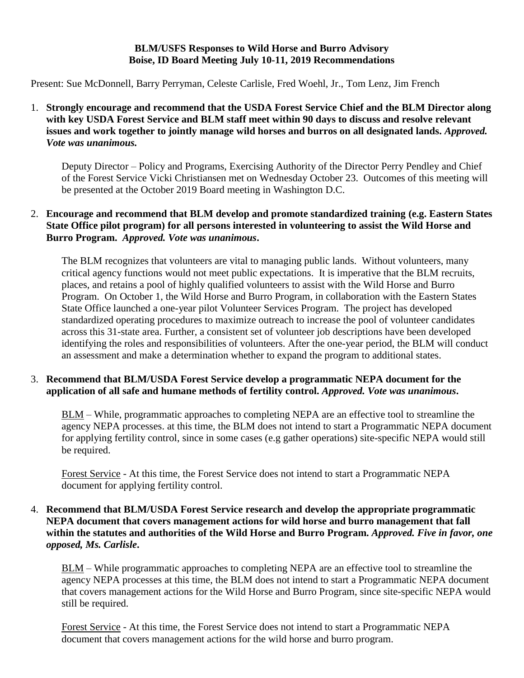#### **BLM/USFS Responses to Wild Horse and Burro Advisory Boise, ID Board Meeting July 10-11, 2019 Recommendations**

Present: Sue McDonnell, Barry Perryman, Celeste Carlisle, Fred Woehl, Jr., Tom Lenz, Jim French

1. **Strongly encourage and recommend that the USDA Forest Service Chief and the BLM Director along with key USDA Forest Service and BLM staff meet within 90 days to discuss and resolve relevant issues and work together to jointly manage wild horses and burros on all designated lands.** *Approved. Vote was unanimous.*

Deputy Director – Policy and Programs, Exercising Authority of the Director Perry Pendley and Chief of the Forest Service Vicki Christiansen met on Wednesday October 23. Outcomes of this meeting will be presented at the October 2019 Board meeting in Washington D.C.

# 2. **Encourage and recommend that BLM develop and promote standardized training (e.g. Eastern States State Office pilot program) for all persons interested in volunteering to assist the Wild Horse and Burro Program.** *Approved. Vote was unanimous***.**

The BLM recognizes that volunteers are vital to managing public lands. Without volunteers, many critical agency functions would not meet public expectations. It is imperative that the BLM recruits, places, and retains a pool of highly qualified volunteers to assist with the Wild Horse and Burro Program. On October 1, the Wild Horse and Burro Program, in collaboration with the Eastern States State Office launched a one-year pilot Volunteer Services Program. The project has developed standardized operating procedures to maximize outreach to increase the pool of volunteer candidates across this 31-state area. Further, a consistent set of volunteer job descriptions have been developed identifying the roles and responsibilities of volunteers. After the one-year period, the BLM will conduct an assessment and make a determination whether to expand the program to additional states.

#### 3. **Recommend that BLM/USDA Forest Service develop a programmatic NEPA document for the application of all safe and humane methods of fertility control.** *Approved. Vote was unanimous***.**

BLM – While, programmatic approaches to completing NEPA are an effective tool to streamline the agency NEPA processes. at this time, the BLM does not intend to start a Programmatic NEPA document for applying fertility control, since in some cases (e.g gather operations) site-specific NEPA would still be required.

Forest Service - At this time, the Forest Service does not intend to start a Programmatic NEPA document for applying fertility control.

## 4. **Recommend that BLM/USDA Forest Service research and develop the appropriate programmatic NEPA document that covers management actions for wild horse and burro management that fall within the statutes and authorities of the Wild Horse and Burro Program.** *Approved. Five in favor, one opposed, Ms. Carlisle***.**

BLM – While programmatic approaches to completing NEPA are an effective tool to streamline the agency NEPA processes at this time, the BLM does not intend to start a Programmatic NEPA document that covers management actions for the Wild Horse and Burro Program, since site-specific NEPA would still be required.

Forest Service - At this time, the Forest Service does not intend to start a Programmatic NEPA document that covers management actions for the wild horse and burro program.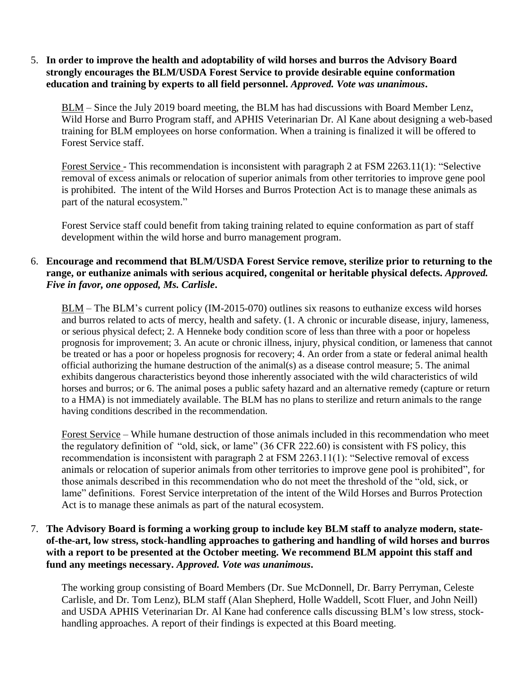5. **In order to improve the health and adoptability of wild horses and burros the Advisory Board strongly encourages the BLM/USDA Forest Service to provide desirable equine conformation education and training by experts to all field personnel.** *Approved. Vote was unanimous***.**

BLM – Since the July 2019 board meeting, the BLM has had discussions with Board Member Lenz, Wild Horse and Burro Program staff, and APHIS Veterinarian Dr. Al Kane about designing a web-based training for BLM employees on horse conformation. When a training is finalized it will be offered to Forest Service staff.

Forest Service - This recommendation is inconsistent with paragraph 2 at FSM 2263.11(1): "Selective removal of excess animals or relocation of superior animals from other territories to improve gene pool is prohibited. The intent of the Wild Horses and Burros Protection Act is to manage these animals as part of the natural ecosystem."

Forest Service staff could benefit from taking training related to equine conformation as part of staff development within the wild horse and burro management program.

# 6. **Encourage and recommend that BLM/USDA Forest Service remove, sterilize prior to returning to the range, or euthanize animals with serious acquired, congenital or heritable physical defects.** *Approved. Five in favor, one opposed, Ms. Carlisle***.**

BLM – The BLM's current policy (IM-2015-070) outlines six reasons to euthanize excess wild horses and burros related to acts of mercy, health and safety. (1. A chronic or incurable disease, injury, lameness, or serious physical defect; 2. A Henneke body condition score of less than three with a poor or hopeless prognosis for improvement; 3. An acute or chronic illness, injury, physical condition, or lameness that cannot be treated or has a poor or hopeless prognosis for recovery; 4. An order from a state or federal animal health official authorizing the humane destruction of the animal(s) as a disease control measure; 5. The animal exhibits dangerous characteristics beyond those inherently associated with the wild characteristics of wild horses and burros; or 6. The animal poses a public safety hazard and an alternative remedy (capture or return to a HMA) is not immediately available. The BLM has no plans to sterilize and return animals to the range having conditions described in the recommendation.

Forest Service – While humane destruction of those animals included in this recommendation who meet the regulatory definition of "old, sick, or lame" (36 CFR 222.60) is consistent with FS policy, this recommendation is inconsistent with paragraph 2 at FSM 2263.11(1): "Selective removal of excess animals or relocation of superior animals from other territories to improve gene pool is prohibited", for those animals described in this recommendation who do not meet the threshold of the "old, sick, or lame" definitions. Forest Service interpretation of the intent of the Wild Horses and Burros Protection Act is to manage these animals as part of the natural ecosystem.

## 7. **The Advisory Board is forming a working group to include key BLM staff to analyze modern, stateof-the-art, low stress, stock-handling approaches to gathering and handling of wild horses and burros with a report to be presented at the October meeting. We recommend BLM appoint this staff and fund any meetings necessary.** *Approved. Vote was unanimous***.**

The working group consisting of Board Members (Dr. Sue McDonnell, Dr. Barry Perryman, Celeste Carlisle, and Dr. Tom Lenz), BLM staff (Alan Shepherd, Holle Waddell, Scott Fluer, and John Neill) and USDA APHIS Veterinarian Dr. Al Kane had conference calls discussing BLM's low stress, stockhandling approaches. A report of their findings is expected at this Board meeting.